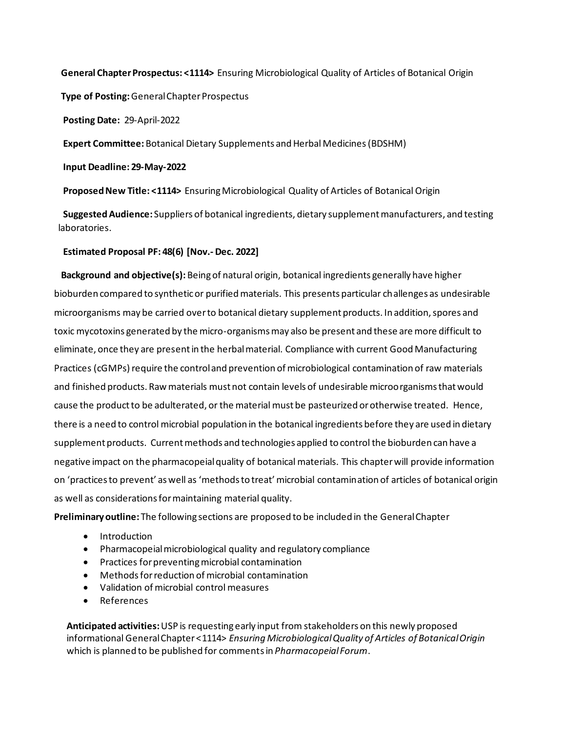**General Chapter Prospectus: <1114>** Ensuring Microbiological Quality of Articles of Botanical Origin

 **Type of Posting:** General Chapter Prospectus

 **Posting Date:** 29-April-2022

**Expert Committee:** Botanical Dietary Supplements and Herbal Medicines(BDSHM)

 **Input Deadline: 29-May-2022**

 **Proposed New Title: <1114>** Ensuring Microbiological Quality of Articles of Botanical Origin

 **Suggested Audience:** Suppliers of botanical ingredients, dietary supplement manufacturers, and testing laboratories.

## **Estimated Proposal PF: 48(6) [Nov.- Dec. 2022]**

 **Background and objective(s):** Being of natural origin, botanical ingredients generally have higher bioburden compared to synthetic or purified materials. This presents particular challenges as undesirable microorganisms may be carried over to botanical dietary supplement products. In addition, spores and toxic mycotoxins generated by the micro-organisms may also be present and these are more difficult to eliminate, once they are present in the herbal material. Compliance with current Good Manufacturing Practices (cGMPs) require the control and prevention of microbiological contamination of raw materials and finished products. Raw materials must not contain levels of undesirable microorganisms that would cause the product to be adulterated, or the material must be pasteurized or otherwise treated. Hence, there is a need to control microbial population in the botanical ingredients before they are used in dietary supplement products. Current methods and technologies applied to control the bioburden can have a negative impact on the pharmacopeial quality of botanical materials. This chapter will provide information on 'practices to prevent' as well as 'methods to treat' microbial contamination of articles of botanical origin as well as considerations for maintaining material quality.

**Preliminary outline:** The following sections are proposed to be included in the General Chapter

- Introduction
- Pharmacopeial microbiological quality and regulatory compliance
- Practices for preventing microbial contamination
- Methods for reduction of microbial contamination
- Validation of microbial control measures
- References

**Anticipated activities:**USP is requesting early input from stakeholders on this newly proposed informational General Chapter <1114> *Ensuring Microbiological Quality of Articles of Botanical Origin* which is planned to be published for commentsin *Pharmacopeial Forum*.